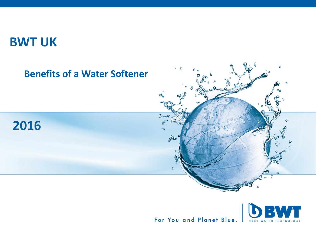## **BWT UK**



For You and Planet Blue. **BEST**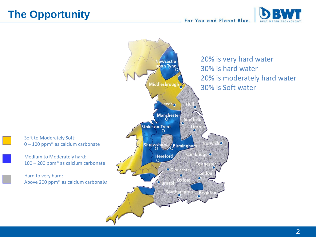## **The Opportunity**

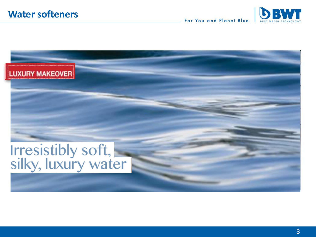DBWT For You and Planet Blue.

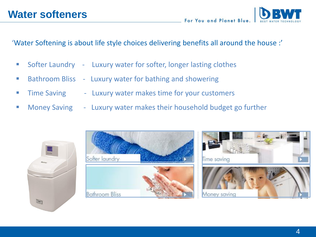'Water Softening is about life style choices delivering benefits all around the house :'

- **Softer Laundry Luxury water for softer, longer lasting clothes**
- Bathroom Bliss Luxury water for bathing and showering
- **Time Saving Luxury water makes time for your customers**
- **Money Saving Luxury water makes their household budget go further**



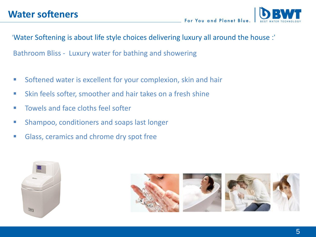

'Water Softening is about life style choices delivering luxury all around the house :'

Bathroom Bliss - Luxury water for bathing and showering

- **Softened water is excellent for your complexion, skin and hair**
- Skin feels softer, smoother and hair takes on a fresh shine
- **Towels and face cloths feel softer**
- **Shampoo, conditioners and soaps last longer**
- **Glass, ceramics and chrome dry spot free**



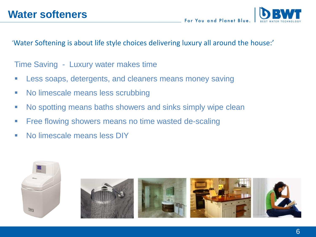'Water Softening is about life style choices delivering luxury all around the house:'

Time Saving - Luxury water makes time

- **Less soaps, detergents, and cleaners means money saving**
- No limescale means less scrubbing
- No spotting means baths showers and sinks simply wipe clean
- **Figure 1** Free flowing showers means no time wasted de-scaling
- No limescale means less DIY

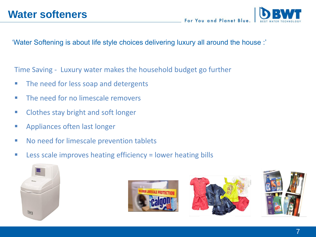'Water Softening is about life style choices delivering luxury all around the house :'

Time Saving - Luxury water makes the household budget go further

- The need for less soap and detergents
- **The need for no limescale removers**
- **EXECUTE:** Clothes stay bright and soft longer
- **EXAPPLE Appliances often last longer**
- **No need for limescale prevention tablets**
- **EXELO:** Less scale improves heating efficiency = lower heating bills







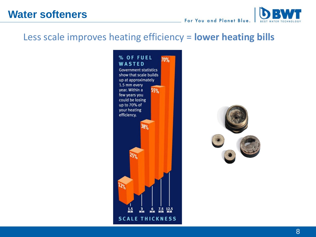## Less scale improves heating efficiency = **lower heating bills**